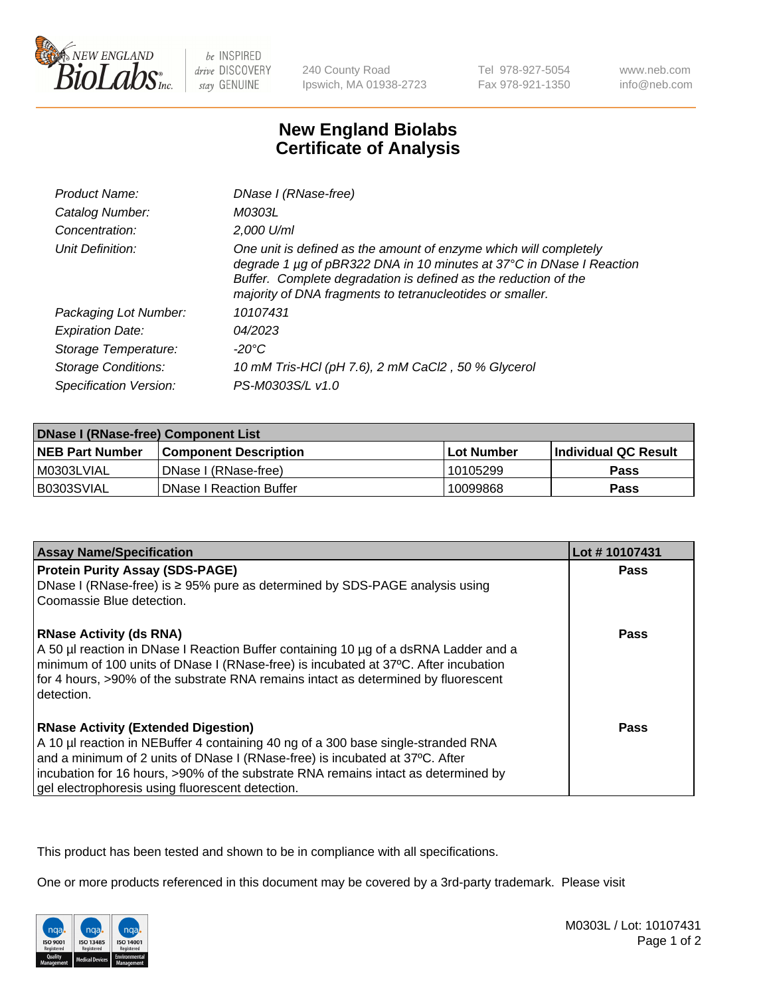

be INSPIRED drive DISCOVERY stay GENUINE

240 County Road Ipswich, MA 01938-2723 Tel 978-927-5054 Fax 978-921-1350

www.neb.com info@neb.com

## **New England Biolabs Certificate of Analysis**

| Product Name:              | DNase I (RNase-free)                                                                                                                                                                                                                                                      |
|----------------------------|---------------------------------------------------------------------------------------------------------------------------------------------------------------------------------------------------------------------------------------------------------------------------|
| Catalog Number:            | M0303L                                                                                                                                                                                                                                                                    |
| Concentration:             | 2,000 U/ml                                                                                                                                                                                                                                                                |
| Unit Definition:           | One unit is defined as the amount of enzyme which will completely<br>degrade 1 µg of pBR322 DNA in 10 minutes at 37°C in DNase I Reaction<br>Buffer. Complete degradation is defined as the reduction of the<br>majority of DNA fragments to tetranucleotides or smaller. |
| Packaging Lot Number:      | 10107431                                                                                                                                                                                                                                                                  |
| <b>Expiration Date:</b>    | 04/2023                                                                                                                                                                                                                                                                   |
| Storage Temperature:       | -20°C                                                                                                                                                                                                                                                                     |
| <b>Storage Conditions:</b> | 10 mM Tris-HCl (pH 7.6), 2 mM CaCl2, 50 % Glycerol                                                                                                                                                                                                                        |
| Specification Version:     | PS-M0303S/L v1.0                                                                                                                                                                                                                                                          |

| <b>DNase I (RNase-free) Component List</b> |                                |            |                             |  |
|--------------------------------------------|--------------------------------|------------|-----------------------------|--|
| <b>NEB Part Number</b>                     | <b>Component Description</b>   | Lot Number | <b>Individual QC Result</b> |  |
| I M0303LVIAL                               | DNase I (RNase-free)           | 10105299   | <b>Pass</b>                 |  |
| I B0303SVIAL                               | <b>DNase I Reaction Buffer</b> | 10099868   | <b>Pass</b>                 |  |

| <b>Assay Name/Specification</b>                                                                  | Lot #10107431 |
|--------------------------------------------------------------------------------------------------|---------------|
| <b>Protein Purity Assay (SDS-PAGE)</b>                                                           | <b>Pass</b>   |
| DNase I (RNase-free) is ≥ 95% pure as determined by SDS-PAGE analysis using                      |               |
| Coomassie Blue detection.                                                                        |               |
| <b>RNase Activity (ds RNA)</b>                                                                   | <b>Pass</b>   |
| A 50 µl reaction in DNase I Reaction Buffer containing 10 µg of a dsRNA Ladder and a             |               |
| minimum of 100 units of DNase I (RNase-free) is incubated at 37°C. After incubation              |               |
| for 4 hours, >90% of the substrate RNA remains intact as determined by fluorescent<br>detection. |               |
|                                                                                                  |               |
| <b>RNase Activity (Extended Digestion)</b>                                                       | Pass          |
| A 10 µl reaction in NEBuffer 4 containing 40 ng of a 300 base single-stranded RNA                |               |
| and a minimum of 2 units of DNase I (RNase-free) is incubated at 37°C. After                     |               |
| incubation for 16 hours, >90% of the substrate RNA remains intact as determined by               |               |
| gel electrophoresis using fluorescent detection.                                                 |               |

This product has been tested and shown to be in compliance with all specifications.

One or more products referenced in this document may be covered by a 3rd-party trademark. Please visit